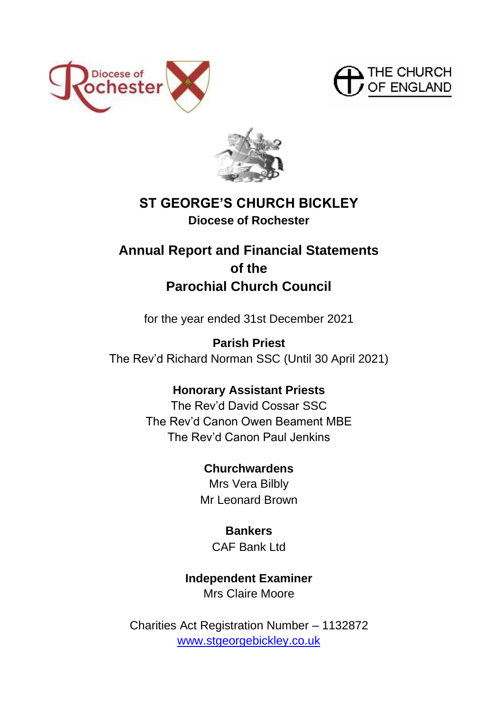





# **ST GEORGE'S CHURCH BICKLEY Diocese of Rochester**

# **Annual Report and Financial Statements of the Parochial Church Council**

for the year ended 31st December 2021

**Parish Priest** The Rev'd Richard Norman SSC (Until 30 April 2021)

# **Honorary Assistant Priests**

The Rev'd David Cossar SSC The Rev'd Canon Owen Beament MBE The Rev'd Canon Paul Jenkins

# **Churchwardens**

Mrs Vera Bilbly Mr Leonard Brown

# **Bankers** CAF Bank Ltd

# **Independent Examiner**

Mrs Claire Moore

Charities Act Registration Number – 1132872 [www.stgeorgebickley.co.uk](http://www.stgeorgebickley.co.uk/)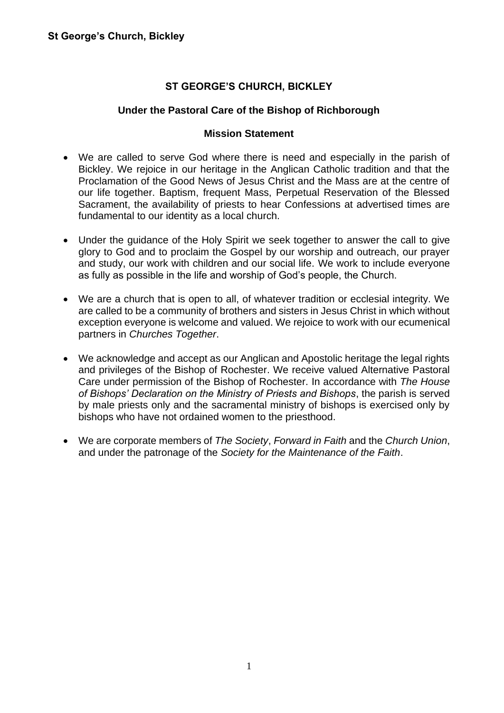# **ST GEORGE'S CHURCH, BICKLEY**

# **Under the Pastoral Care of the Bishop of Richborough**

#### **Mission Statement**

- We are called to serve God where there is need and especially in the parish of Bickley. We rejoice in our heritage in the Anglican Catholic tradition and that the Proclamation of the Good News of Jesus Christ and the Mass are at the centre of our life together. Baptism, frequent Mass, Perpetual Reservation of the Blessed Sacrament, the availability of priests to hear Confessions at advertised times are fundamental to our identity as a local church.
- Under the quidance of the Holy Spirit we seek together to answer the call to give glory to God and to proclaim the Gospel by our worship and outreach, our prayer and study, our work with children and our social life. We work to include everyone as fully as possible in the life and worship of God's people, the Church.
- We are a church that is open to all, of whatever tradition or ecclesial integrity. We are called to be a community of brothers and sisters in Jesus Christ in which without exception everyone is welcome and valued. We rejoice to work with our ecumenical partners in *Churches Together*.
- We acknowledge and accept as our Anglican and Apostolic heritage the legal rights and privileges of the Bishop of Rochester. We receive valued Alternative Pastoral Care under permission of the Bishop of Rochester. In accordance with *The House of Bishops' Declaration on the Ministry of Priests and Bishops*, the parish is served by male priests only and the sacramental ministry of bishops is exercised only by bishops who have not ordained women to the priesthood.
- We are corporate members of *The Society*, *Forward in Faith* and the *Church Union*, and under the patronage of the *Society for the Maintenance of the Faith*.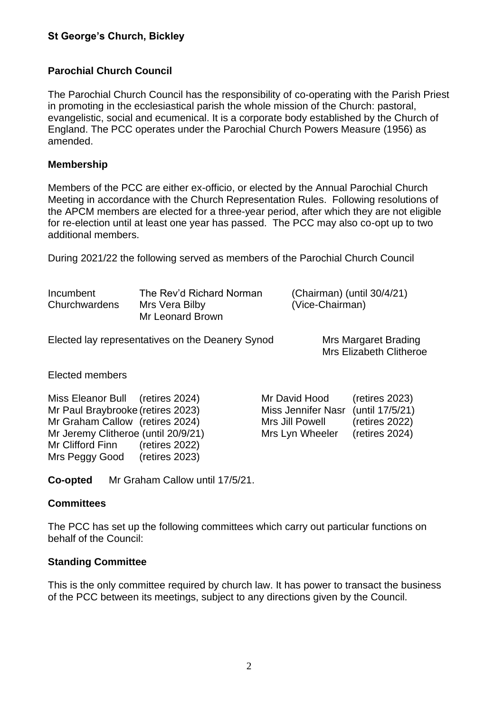#### **Parochial Church Council**

The Parochial Church Council has the responsibility of co-operating with the Parish Priest in promoting in the ecclesiastical parish the whole mission of the Church: pastoral, evangelistic, social and ecumenical. It is a corporate body established by the Church of England. The PCC operates under the Parochial Church Powers Measure (1956) as amended.

#### **Membership**

Members of the PCC are either ex-officio, or elected by the Annual Parochial Church Meeting in accordance with the Church Representation Rules. Following resolutions of the APCM members are elected for a three-year period, after which they are not eligible for re-election until at least one year has passed. The PCC may also co-opt up to two additional members.

During 2021/22 the following served as members of the Parochial Church Council

| Incumbent<br>Churchwardens | The Rev'd Richard Norman<br>Mrs Vera Bilby<br>Mr Leonard Brown | (Chairman) (until $30/4/21$ )<br>(Vice-Chairman) |
|----------------------------|----------------------------------------------------------------|--------------------------------------------------|
|                            |                                                                |                                                  |

Elected lay representatives on the Deanery Synod Mrs Margaret Brading

Mrs Elizabeth Clitheroe

Elected members

Miss Eleanor Bull (retires 2024) Mr Paul Braybrooke (retires 2023) Mr Graham Callow (retires 2024) Mr Jeremy Clitheroe (until 20/9/21) Mr Clifford Finn (retires 2022) Mrs Peggy Good (retires 2023)

| (retires 2023)  |
|-----------------|
| (until 17/5/21) |
| (retires 2022)  |
| (retires 2024)  |
|                 |

**Co-opted** Mr Graham Callow until 17/5/21.

#### **Committees**

The PCC has set up the following committees which carry out particular functions on behalf of the Council:

#### **Standing Committee**

This is the only committee required by church law. It has power to transact the business of the PCC between its meetings, subject to any directions given by the Council.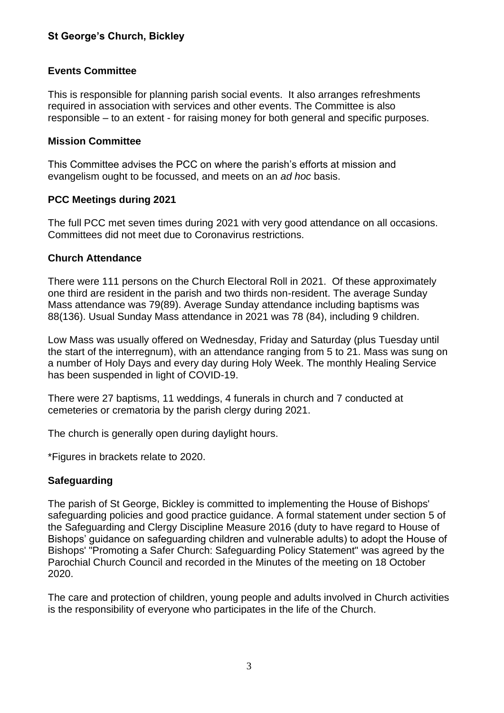# **Events Committee**

This is responsible for planning parish social events. It also arranges refreshments required in association with services and other events. The Committee is also responsible – to an extent - for raising money for both general and specific purposes.

#### **Mission Committee**

This Committee advises the PCC on where the parish's efforts at mission and evangelism ought to be focussed, and meets on an *ad hoc* basis.

# **PCC Meetings during 2021**

The full PCC met seven times during 2021 with very good attendance on all occasions. Committees did not meet due to Coronavirus restrictions.

# **Church Attendance**

There were 111 persons on the Church Electoral Roll in 2021. Of these approximately one third are resident in the parish and two thirds non-resident. The average Sunday Mass attendance was 79(89). Average Sunday attendance including baptisms was 88(136). Usual Sunday Mass attendance in 2021 was 78 (84), including 9 children.

Low Mass was usually offered on Wednesday, Friday and Saturday (plus Tuesday until the start of the interregnum), with an attendance ranging from 5 to 21. Mass was sung on a number of Holy Days and every day during Holy Week. The monthly Healing Service has been suspended in light of COVID-19.

There were 27 baptisms, 11 weddings, 4 funerals in church and 7 conducted at cemeteries or crematoria by the parish clergy during 2021.

The church is generally open during daylight hours.

\*Figures in brackets relate to 2020.

#### **Safeguarding**

The parish of St George, Bickley is committed to implementing the House of Bishops' safeguarding policies and good practice guidance. A formal statement under section 5 of the Safeguarding and Clergy Discipline Measure 2016 (duty to have regard to House of Bishops' guidance on safeguarding children and vulnerable adults) to adopt the House of Bishops' "Promoting a Safer Church: Safeguarding Policy Statement" was agreed by the Parochial Church Council and recorded in the Minutes of the meeting on 18 October 2020.

The care and protection of children, young people and adults involved in Church activities is the responsibility of everyone who participates in the life of the Church.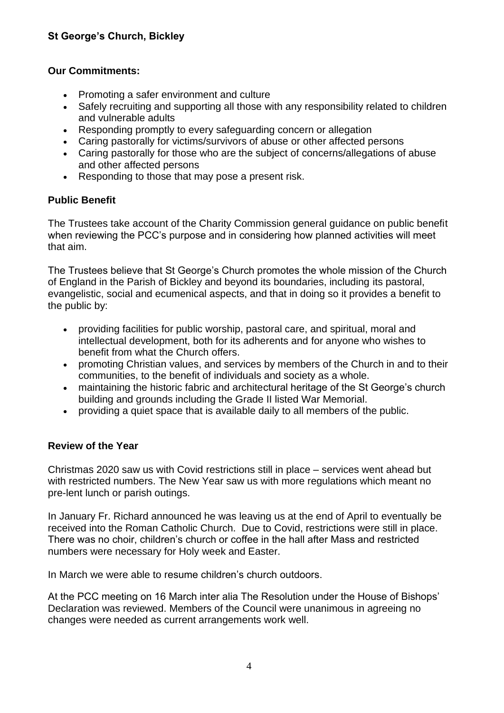# **Our Commitments:**

- Promoting a safer environment and culture
- Safely recruiting and supporting all those with any responsibility related to children and vulnerable adults
- Responding promptly to every safeguarding concern or allegation
- Caring pastorally for victims/survivors of abuse or other affected persons
- Caring pastorally for those who are the subject of concerns/allegations of abuse and other affected persons
- Responding to those that may pose a present risk.

# **Public Benefit**

The Trustees take account of the Charity Commission general guidance on public benefit when reviewing the PCC's purpose and in considering how planned activities will meet that aim.

The Trustees believe that St George's Church promotes the whole mission of the Church of England in the Parish of Bickley and beyond its boundaries, including its pastoral, evangelistic, social and ecumenical aspects, and that in doing so it provides a benefit to the public by:

- providing facilities for public worship, pastoral care, and spiritual, moral and intellectual development, both for its adherents and for anyone who wishes to benefit from what the Church offers.
- promoting Christian values, and services by members of the Church in and to their communities, to the benefit of individuals and society as a whole.
- maintaining the historic fabric and architectural heritage of the St George's church building and grounds including the Grade II listed War Memorial.
- providing a quiet space that is available daily to all members of the public.

# **Review of the Year**

Christmas 2020 saw us with Covid restrictions still in place – services went ahead but with restricted numbers. The New Year saw us with more regulations which meant no pre-lent lunch or parish outings.

In January Fr. Richard announced he was leaving us at the end of April to eventually be received into the Roman Catholic Church. Due to Covid, restrictions were still in place. There was no choir, children's church or coffee in the hall after Mass and restricted numbers were necessary for Holy week and Easter.

In March we were able to resume children's church outdoors.

At the PCC meeting on 16 March inter alia The Resolution under the House of Bishops' Declaration was reviewed. Members of the Council were unanimous in agreeing no changes were needed as current arrangements work well.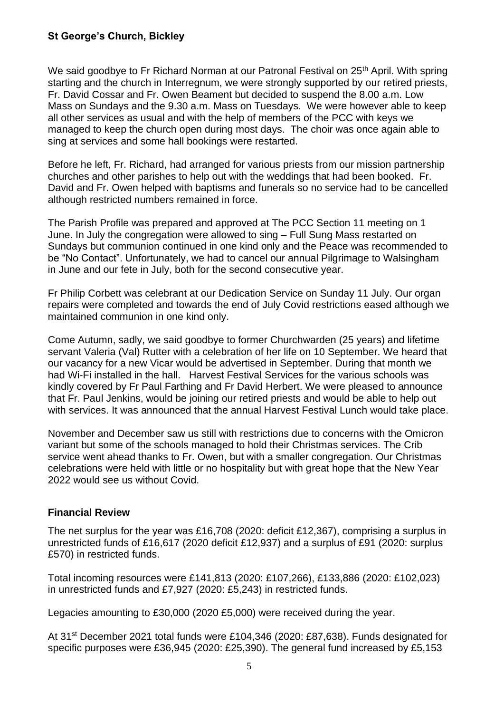We said goodbye to Fr Richard Norman at our Patronal Festival on 25<sup>th</sup> April. With spring starting and the church in Interregnum, we were strongly supported by our retired priests, Fr. David Cossar and Fr. Owen Beament but decided to suspend the 8.00 a.m. Low Mass on Sundays and the 9.30 a.m. Mass on Tuesdays. We were however able to keep all other services as usual and with the help of members of the PCC with keys we managed to keep the church open during most days. The choir was once again able to sing at services and some hall bookings were restarted.

Before he left, Fr. Richard, had arranged for various priests from our mission partnership churches and other parishes to help out with the weddings that had been booked. Fr. David and Fr. Owen helped with baptisms and funerals so no service had to be cancelled although restricted numbers remained in force.

The Parish Profile was prepared and approved at The PCC Section 11 meeting on 1 June. In July the congregation were allowed to sing – Full Sung Mass restarted on Sundays but communion continued in one kind only and the Peace was recommended to be "No Contact". Unfortunately, we had to cancel our annual Pilgrimage to Walsingham in June and our fete in July, both for the second consecutive year.

Fr Philip Corbett was celebrant at our Dedication Service on Sunday 11 July. Our organ repairs were completed and towards the end of July Covid restrictions eased although we maintained communion in one kind only.

Come Autumn, sadly, we said goodbye to former Churchwarden (25 years) and lifetime servant Valeria (Val) Rutter with a celebration of her life on 10 September. We heard that our vacancy for a new Vicar would be advertised in September. During that month we had Wi-Fi installed in the hall. Harvest Festival Services for the various schools was kindly covered by Fr Paul Farthing and Fr David Herbert. We were pleased to announce that Fr. Paul Jenkins, would be joining our retired priests and would be able to help out with services. It was announced that the annual Harvest Festival Lunch would take place.

November and December saw us still with restrictions due to concerns with the Omicron variant but some of the schools managed to hold their Christmas services. The Crib service went ahead thanks to Fr. Owen, but with a smaller congregation. Our Christmas celebrations were held with little or no hospitality but with great hope that the New Year 2022 would see us without Covid.

#### **Financial Review**

The net surplus for the year was £16,708 (2020: deficit £12,367), comprising a surplus in unrestricted funds of £16,617 (2020 deficit £12,937) and a surplus of £91 (2020: surplus £570) in restricted funds.

Total incoming resources were £141,813 (2020: £107,266), £133,886 (2020: £102,023) in unrestricted funds and £7,927 (2020: £5,243) in restricted funds.

Legacies amounting to £30,000 (2020 £5,000) were received during the year.

At 31st December 2021 total funds were £104,346 (2020: £87,638). Funds designated for specific purposes were £36,945 (2020: £25,390). The general fund increased by £5,153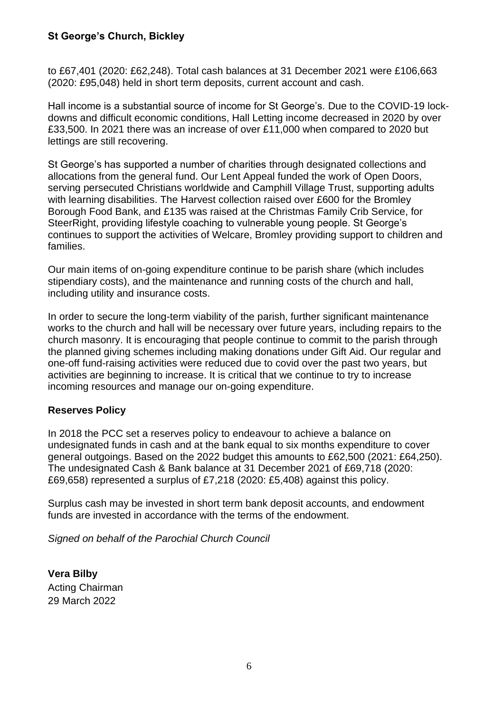to £67,401 (2020: £62,248). Total cash balances at 31 December 2021 were £106,663 (2020: £95,048) held in short term deposits, current account and cash.

Hall income is a substantial source of income for St George's. Due to the COVID-19 lockdowns and difficult economic conditions, Hall Letting income decreased in 2020 by over £33,500. In 2021 there was an increase of over £11,000 when compared to 2020 but lettings are still recovering.

St George's has supported a number of charities through designated collections and allocations from the general fund. Our Lent Appeal funded the work of Open Doors, serving persecuted Christians worldwide and Camphill Village Trust, supporting adults with learning disabilities. The Harvest collection raised over £600 for the Bromley Borough Food Bank, and £135 was raised at the Christmas Family Crib Service, for SteerRight, providing lifestyle coaching to vulnerable young people. St George's continues to support the activities of Welcare, Bromley providing support to children and families.

Our main items of on-going expenditure continue to be parish share (which includes stipendiary costs), and the maintenance and running costs of the church and hall, including utility and insurance costs.

In order to secure the long-term viability of the parish, further significant maintenance works to the church and hall will be necessary over future years, including repairs to the church masonry. It is encouraging that people continue to commit to the parish through the planned giving schemes including making donations under Gift Aid. Our regular and one-off fund-raising activities were reduced due to covid over the past two years, but activities are beginning to increase. It is critical that we continue to try to increase incoming resources and manage our on-going expenditure.

#### **Reserves Policy**

In 2018 the PCC set a reserves policy to endeavour to achieve a balance on undesignated funds in cash and at the bank equal to six months expenditure to cover general outgoings. Based on the 2022 budget this amounts to £62,500 (2021: £64,250). The undesignated Cash & Bank balance at 31 December 2021 of £69,718 (2020: £69,658) represented a surplus of £7,218 (2020: £5,408) against this policy.

Surplus cash may be invested in short term bank deposit accounts, and endowment funds are invested in accordance with the terms of the endowment.

*Signed on behalf of the Parochial Church Council*

**Vera Bilby** Acting Chairman 29 March 2022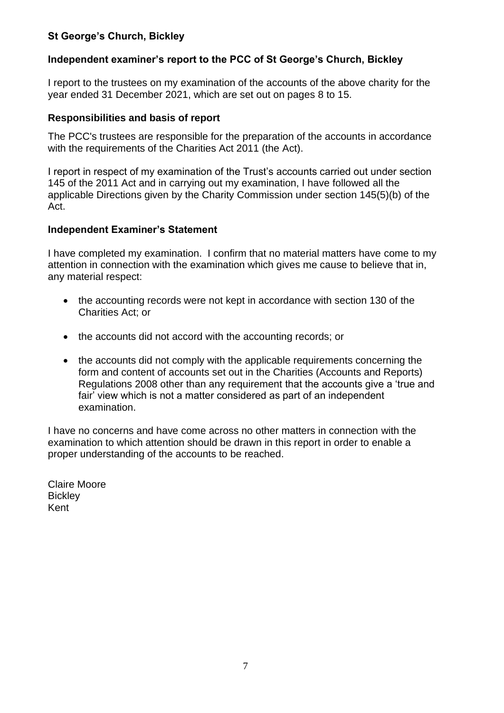# **Independent examiner's report to the PCC of St George's Church, Bickley**

I report to the trustees on my examination of the accounts of the above charity for the year ended 31 December 2021, which are set out on pages 8 to 15.

#### **Responsibilities and basis of report**

The PCC's trustees are responsible for the preparation of the accounts in accordance with the requirements of the Charities Act 2011 (the Act).

I report in respect of my examination of the Trust's accounts carried out under section 145 of the 2011 Act and in carrying out my examination, I have followed all the applicable Directions given by the Charity Commission under section 145(5)(b) of the Act.

#### **Independent Examiner's Statement**

I have completed my examination. I confirm that no material matters have come to my attention in connection with the examination which gives me cause to believe that in, any material respect:

- the accounting records were not kept in accordance with section 130 of the Charities Act; or
- the accounts did not accord with the accounting records; or
- the accounts did not comply with the applicable requirements concerning the form and content of accounts set out in the Charities (Accounts and Reports) Regulations 2008 other than any requirement that the accounts give a 'true and fair' view which is not a matter considered as part of an independent examination.

I have no concerns and have come across no other matters in connection with the examination to which attention should be drawn in this report in order to enable a proper understanding of the accounts to be reached.

Claire Moore **Bickley** Kent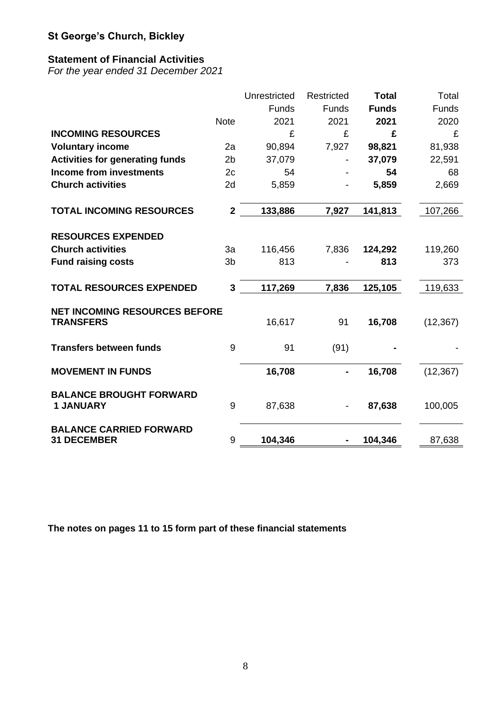# **Statement of Financial Activities**

*For the year ended 31 December 2021*

|                                                          |                | Unrestricted | Restricted | <b>Total</b> | Total        |
|----------------------------------------------------------|----------------|--------------|------------|--------------|--------------|
|                                                          |                | Funds        | Funds      | <b>Funds</b> | <b>Funds</b> |
|                                                          | <b>Note</b>    | 2021         | 2021       | 2021         | 2020         |
| <b>INCOMING RESOURCES</b>                                |                | £            | £          | £            | £            |
| <b>Voluntary income</b>                                  | 2a             | 90,894       | 7,927      | 98,821       | 81,938       |
| <b>Activities for generating funds</b>                   | 2 <sub>b</sub> | 37,079       |            | 37,079       | 22,591       |
| <b>Income from investments</b>                           | 2c             | 54           |            | 54           | 68           |
| <b>Church activities</b>                                 | 2d             | 5,859        |            | 5,859        | 2,669        |
| <b>TOTAL INCOMING RESOURCES</b>                          | $\mathbf{2}$   | 133,886      | 7,927      | 141,813      | 107,266      |
| <b>RESOURCES EXPENDED</b>                                |                |              |            |              |              |
| <b>Church activities</b>                                 | 3a             | 116,456      | 7,836      | 124,292      | 119,260      |
| <b>Fund raising costs</b>                                | 3b             | 813          |            | 813          | 373          |
| <b>TOTAL RESOURCES EXPENDED</b>                          | 3              | 117,269      | 7,836      | 125,105      | 119,633      |
| <b>NET INCOMING RESOURCES BEFORE</b><br><b>TRANSFERS</b> |                | 16,617       | 91         | 16,708       | (12, 367)    |
| <b>Transfers between funds</b>                           | 9              | 91           | (91)       |              |              |
| <b>MOVEMENT IN FUNDS</b>                                 |                | 16,708       |            | 16,708       | (12, 367)    |
| <b>BALANCE BROUGHT FORWARD</b><br><b>1 JANUARY</b>       | 9              | 87,638       |            | 87,638       | 100,005      |
| <b>BALANCE CARRIED FORWARD</b><br><b>31 DECEMBER</b>     | 9              | 104,346      |            | 104,346      | 87,638       |

**The notes on pages 11 to 15 form part of these financial statements**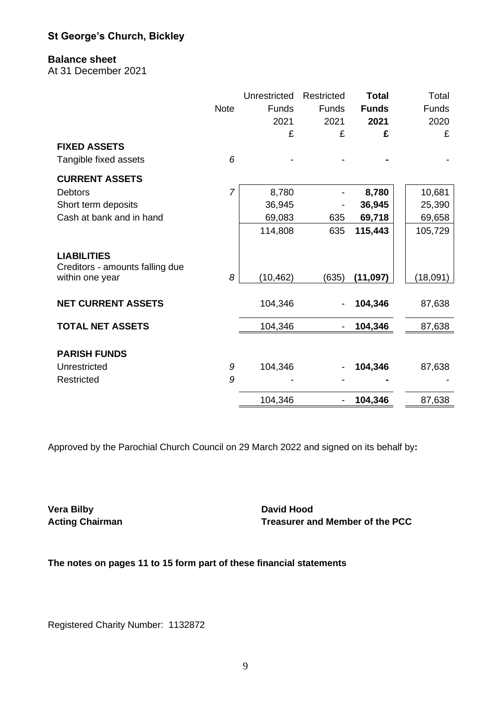#### **Balance sheet**

At 31 December 2021

|                                                                          |                | Unrestricted | Restricted   | <b>Total</b> | Total        |
|--------------------------------------------------------------------------|----------------|--------------|--------------|--------------|--------------|
|                                                                          | <b>Note</b>    | <b>Funds</b> | <b>Funds</b> | <b>Funds</b> | <b>Funds</b> |
|                                                                          |                | 2021         | 2021         | 2021         | 2020         |
|                                                                          |                | £            | £            | £            | £            |
| <b>FIXED ASSETS</b>                                                      |                |              |              |              |              |
| Tangible fixed assets                                                    | 6              |              |              |              |              |
| <b>CURRENT ASSETS</b>                                                    |                |              |              |              |              |
| <b>Debtors</b>                                                           | $\overline{7}$ | 8,780        |              | 8,780        | 10,681       |
| Short term deposits                                                      |                | 36,945       |              | 36,945       | 25,390       |
| Cash at bank and in hand                                                 |                | 69,083       | 635          | 69,718       | 69,658       |
|                                                                          |                | 114,808      | 635          | 115,443      | 105,729      |
| <b>LIABILITIES</b><br>Creditors - amounts falling due<br>within one year | 8              | (10, 462)    | (635)        | (11, 097)    | (18,091)     |
|                                                                          |                |              |              |              |              |
| <b>NET CURRENT ASSETS</b>                                                |                | 104,346      |              | 104,346      | 87,638       |
| <b>TOTAL NET ASSETS</b>                                                  |                | 104,346      |              | 104,346      | 87,638       |
| <b>PARISH FUNDS</b>                                                      |                |              |              |              |              |
| Unrestricted                                                             | 9              | 104,346      |              | 104,346      | 87,638       |
| Restricted                                                               | 9              |              |              |              |              |
|                                                                          |                | 104,346      |              | 104,346      | 87,638       |

Approved by the Parochial Church Council on 29 March 2022 and signed on its behalf by**:**

**Vera Bilby David Hood** 

**Acting Chairman Treasurer and Member of the PCC**

**The notes on pages 11 to 15 form part of these financial statements** 

Registered Charity Number: 1132872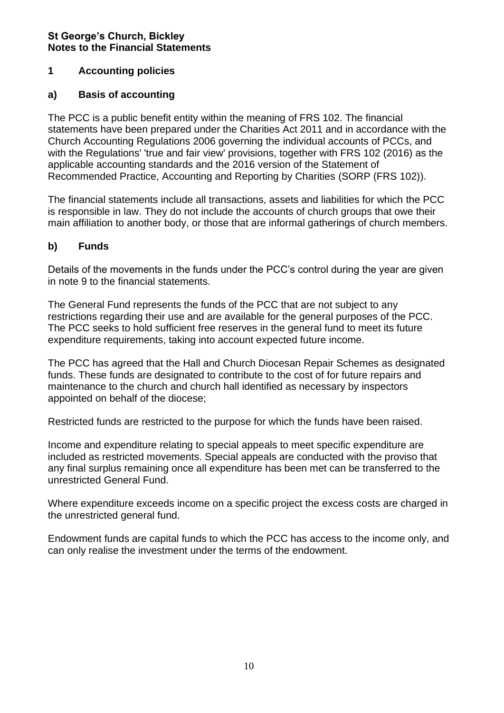# **1 Accounting policies**

# **a) Basis of accounting**

The PCC is a public benefit entity within the meaning of FRS 102. The financial statements have been prepared under the Charities Act 2011 and in accordance with the Church Accounting Regulations 2006 governing the individual accounts of PCCs, and with the Regulations' 'true and fair view' provisions, together with FRS 102 (2016) as the applicable accounting standards and the 2016 version of the Statement of Recommended Practice, Accounting and Reporting by Charities (SORP (FRS 102)).

The financial statements include all transactions, assets and liabilities for which the PCC is responsible in law. They do not include the accounts of church groups that owe their main affiliation to another body, or those that are informal gatherings of church members.

# **b) Funds**

Details of the movements in the funds under the PCC's control during the year are given in note 9 to the financial statements.

The General Fund represents the funds of the PCC that are not subject to any restrictions regarding their use and are available for the general purposes of the PCC. The PCC seeks to hold sufficient free reserves in the general fund to meet its future expenditure requirements, taking into account expected future income.

The PCC has agreed that the Hall and Church Diocesan Repair Schemes as designated funds. These funds are designated to contribute to the cost of for future repairs and maintenance to the church and church hall identified as necessary by inspectors appointed on behalf of the diocese;

Restricted funds are restricted to the purpose for which the funds have been raised.

Income and expenditure relating to special appeals to meet specific expenditure are included as restricted movements. Special appeals are conducted with the proviso that any final surplus remaining once all expenditure has been met can be transferred to the unrestricted General Fund.

Where expenditure exceeds income on a specific project the excess costs are charged in the unrestricted general fund.

Endowment funds are capital funds to which the PCC has access to the income only, and can only realise the investment under the terms of the endowment.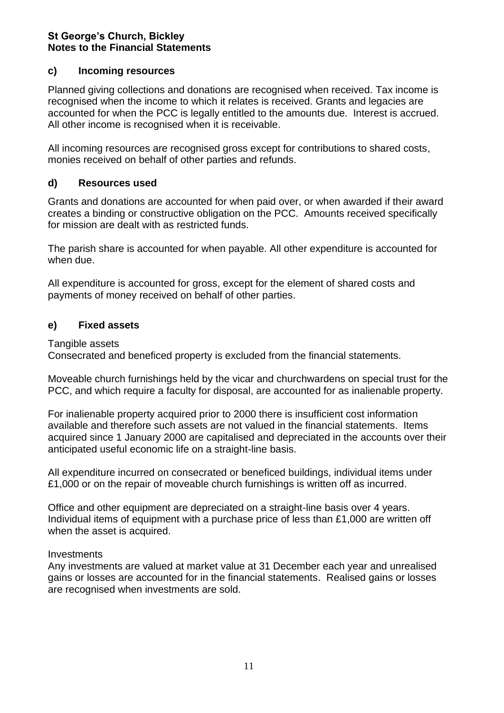# **c) Incoming resources**

Planned giving collections and donations are recognised when received. Tax income is recognised when the income to which it relates is received. Grants and legacies are accounted for when the PCC is legally entitled to the amounts due. Interest is accrued. All other income is recognised when it is receivable.

All incoming resources are recognised gross except for contributions to shared costs, monies received on behalf of other parties and refunds.

# **d) Resources used**

Grants and donations are accounted for when paid over, or when awarded if their award creates a binding or constructive obligation on the PCC. Amounts received specifically for mission are dealt with as restricted funds.

The parish share is accounted for when payable. All other expenditure is accounted for when due.

All expenditure is accounted for gross, except for the element of shared costs and payments of money received on behalf of other parties.

# **e) Fixed assets**

Tangible assets

Consecrated and beneficed property is excluded from the financial statements.

Moveable church furnishings held by the vicar and churchwardens on special trust for the PCC, and which require a faculty for disposal, are accounted for as inalienable property.

For inalienable property acquired prior to 2000 there is insufficient cost information available and therefore such assets are not valued in the financial statements. Items acquired since 1 January 2000 are capitalised and depreciated in the accounts over their anticipated useful economic life on a straight-line basis.

All expenditure incurred on consecrated or beneficed buildings, individual items under £1,000 or on the repair of moveable church furnishings is written off as incurred.

Office and other equipment are depreciated on a straight-line basis over 4 years. Individual items of equipment with a purchase price of less than £1,000 are written off when the asset is acquired.

#### **Investments**

Any investments are valued at market value at 31 December each year and unrealised gains or losses are accounted for in the financial statements. Realised gains or losses are recognised when investments are sold.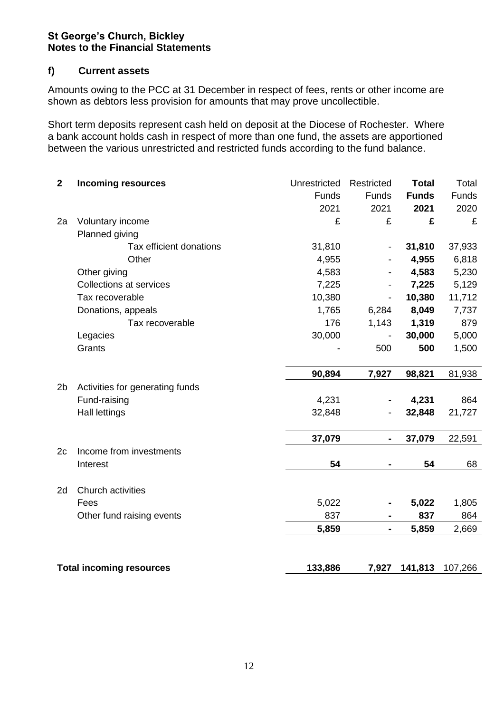# **f) Current assets**

Amounts owing to the PCC at 31 December in respect of fees, rents or other income are shown as debtors less provision for amounts that may prove uncollectible.

Short term deposits represent cash held on deposit at the Diocese of Rochester. Where a bank account holds cash in respect of more than one fund, the assets are apportioned between the various unrestricted and restricted funds according to the fund balance.

| $\mathbf{2}$   | <b>Incoming resources</b>       | Unrestricted | Restricted     | <b>Total</b> | Total   |
|----------------|---------------------------------|--------------|----------------|--------------|---------|
|                |                                 | Funds        | Funds          | <b>Funds</b> | Funds   |
|                |                                 | 2021         | 2021           | 2021         | 2020    |
| 2a             | Voluntary income                | £            | £              | £            | £       |
|                | Planned giving                  |              |                |              |         |
|                | Tax efficient donations         | 31,810       |                | 31,810       | 37,933  |
|                | Other                           | 4,955        |                | 4,955        | 6,818   |
|                | Other giving                    | 4,583        |                | 4,583        | 5,230   |
|                | <b>Collections at services</b>  | 7,225        |                | 7,225        | 5,129   |
|                | Tax recoverable                 | 10,380       |                | 10,380       | 11,712  |
|                | Donations, appeals              | 1,765        | 6,284          | 8,049        | 7,737   |
|                | Tax recoverable                 | 176          | 1,143          | 1,319        | 879     |
|                | Legacies                        | 30,000       |                | 30,000       | 5,000   |
|                | Grants                          |              | 500            | 500          | 1,500   |
|                |                                 |              |                |              |         |
|                |                                 | 90,894       | 7,927          | 98,821       | 81,938  |
| 2 <sub>b</sub> | Activities for generating funds |              |                |              |         |
|                | Fund-raising                    | 4,231        |                | 4,231        | 864     |
|                | <b>Hall lettings</b>            | 32,848       |                | 32,848       | 21,727  |
|                |                                 |              |                |              |         |
|                |                                 | 37,079       |                | 37,079       | 22,591  |
| 2c             | Income from investments         |              |                |              |         |
|                | Interest                        | 54           |                | 54           | 68      |
|                |                                 |              |                |              |         |
| 2d             | Church activities               |              |                |              |         |
|                | Fees                            | 5,022        |                | 5,022        | 1,805   |
|                | Other fund raising events       | 837          |                | 837          | 864     |
|                |                                 | 5,859        | $\blacksquare$ | 5,859        | 2,669   |
|                |                                 |              |                |              |         |
|                |                                 |              |                |              |         |
|                | <b>Total incoming resources</b> | 133,886      | 7,927          | 141,813      | 107,266 |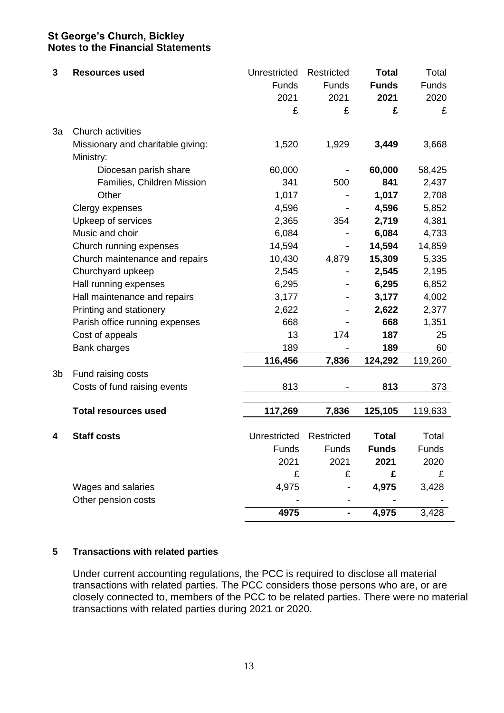| 3  | <b>Resources used</b>                          | Unrestricted | Restricted               | <b>Total</b> | Total   |
|----|------------------------------------------------|--------------|--------------------------|--------------|---------|
|    |                                                | Funds        | Funds                    | <b>Funds</b> | Funds   |
|    |                                                | 2021         | 2021                     | 2021         | 2020    |
|    |                                                | £            | £                        | £            | £       |
| 3a | Church activities                              |              |                          |              |         |
|    | Missionary and charitable giving:<br>Ministry: | 1,520        | 1,929                    | 3,449        | 3,668   |
|    | Diocesan parish share                          | 60,000       | $\overline{\phantom{a}}$ | 60,000       | 58,425  |
|    | Families, Children Mission                     | 341          | 500                      | 841          | 2,437   |
|    | Other                                          | 1,017        |                          | 1,017        | 2,708   |
|    | Clergy expenses                                | 4,596        |                          | 4,596        | 5,852   |
|    | Upkeep of services                             | 2,365        | 354                      | 2,719        | 4,381   |
|    | Music and choir                                | 6,084        |                          | 6,084        | 4,733   |
|    | Church running expenses                        | 14,594       |                          | 14,594       | 14,859  |
|    | Church maintenance and repairs                 | 10,430       | 4,879                    | 15,309       | 5,335   |
|    | Churchyard upkeep                              | 2,545        |                          | 2,545        | 2,195   |
|    | Hall running expenses                          | 6,295        |                          | 6,295        | 6,852   |
|    | Hall maintenance and repairs                   | 3,177        |                          | 3,177        | 4,002   |
|    | Printing and stationery                        | 2,622        |                          | 2,622        | 2,377   |
|    | Parish office running expenses                 | 668          |                          | 668          | 1,351   |
|    | Cost of appeals                                | 13           | 174                      | 187          | 25      |
|    | Bank charges                                   | 189          |                          | 189          | 60      |
|    |                                                | 116,456      | 7,836                    | 124,292      | 119,260 |
| 3b | Fund raising costs                             |              |                          |              |         |
|    | Costs of fund raising events                   | 813          |                          | 813          | 373     |
|    | <b>Total resources used</b>                    | 117,269      | 7,836                    | 125,105      | 119,633 |
|    |                                                |              |                          |              |         |
| 4  | <b>Staff costs</b>                             | Unrestricted | Restricted               | <b>Total</b> | Total   |
|    |                                                | Funds        | Funds                    | <b>Funds</b> | Funds   |
|    |                                                | 2021         | 2021                     | 2021         | 2020    |
|    |                                                | £            | £                        | £            | £       |
|    | Wages and salaries                             | 4,975        |                          | 4,975        | 3,428   |
|    | Other pension costs                            |              |                          |              |         |
|    |                                                | 4975         | ۰                        | 4,975        | 3,428   |

#### **5 Transactions with related parties**

Under current accounting regulations, the PCC is required to disclose all material transactions with related parties. The PCC considers those persons who are, or are closely connected to, members of the PCC to be related parties. There were no material transactions with related parties during 2021 or 2020.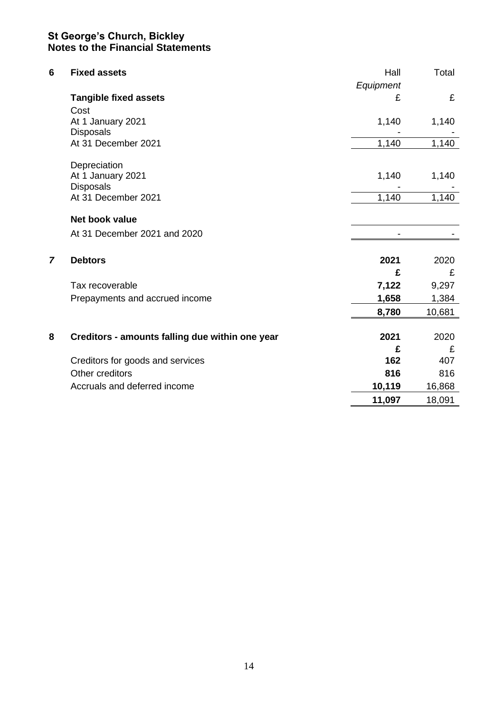| 6              | <b>Fixed assets</b>                             | Hall<br>Equipment | Total  |
|----------------|-------------------------------------------------|-------------------|--------|
|                | <b>Tangible fixed assets</b>                    | £                 | £      |
|                | Cost                                            |                   |        |
|                | At 1 January 2021                               | 1,140             | 1,140  |
|                | <b>Disposals</b>                                |                   |        |
|                | At 31 December 2021                             | 1,140             | 1,140  |
|                | Depreciation                                    |                   |        |
|                | At 1 January 2021                               | 1,140             | 1,140  |
|                | <b>Disposals</b>                                |                   |        |
|                | At 31 December 2021                             | 1,140             | 1,140  |
|                | Net book value                                  |                   |        |
|                | At 31 December 2021 and 2020                    |                   |        |
|                |                                                 |                   |        |
| $\overline{7}$ | <b>Debtors</b>                                  | 2021              | 2020   |
|                |                                                 | £                 | £      |
|                | Tax recoverable                                 | 7,122             | 9,297  |
|                | Prepayments and accrued income                  | 1,658             | 1,384  |
|                |                                                 | 8,780             | 10,681 |
|                |                                                 |                   |        |
| 8              | Creditors - amounts falling due within one year | 2021              | 2020   |
|                |                                                 | £                 | £      |
|                | Creditors for goods and services                | 162               | 407    |
|                | Other creditors                                 | 816               | 816    |
|                | Accruals and deferred income                    | 10,119            | 16,868 |
|                |                                                 | 11,097            | 18,091 |